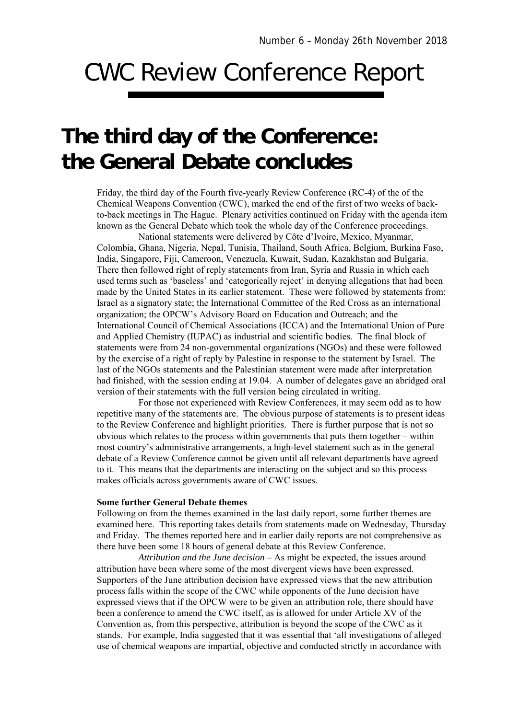## CWC Review Conference Report

## **The third day of the Conference: the General Debate concludes**

Friday, the third day of the Fourth five-yearly Review Conference (RC-4) of the of the Chemical Weapons Convention (CWC), marked the end of the first of two weeks of backto-back meetings in The Hague. Plenary activities continued on Friday with the agenda item known as the General Debate which took the whole day of the Conference proceedings.

National statements were delivered by Côte d'Ivoire, Mexico, Myanmar, Colombia, Ghana, Nigeria, Nepal, Tunisia, Thailand, South Africa, Belgium, Burkina Faso, India, Singapore, Fiji, Cameroon, Venezuela, Kuwait, Sudan, Kazakhstan and Bulgaria. There then followed right of reply statements from Iran, Syria and Russia in which each used terms such as 'baseless' and 'categorically reject' in denying allegations that had been made by the United States in its earlier statement. These were followed by statements from: Israel as a signatory state; the International Committee of the Red Cross as an international organization; the OPCW's Advisory Board on Education and Outreach; and the International Council of Chemical Associations (ICCA) and the International Union of Pure and Applied Chemistry (IUPAC) as industrial and scientific bodies. The final block of statements were from 24 non-governmental organizations (NGOs) and these were followed by the exercise of a right of reply by Palestine in response to the statement by Israel. The last of the NGOs statements and the Palestinian statement were made after interpretation had finished, with the session ending at 19.04. A number of delegates gave an abridged oral version of their statements with the full version being circulated in writing.

For those not experienced with Review Conferences, it may seem odd as to how repetitive many of the statements are. The obvious purpose of statements is to present ideas to the Review Conference and highlight priorities. There is further purpose that is not so obvious which relates to the process within governments that puts them together – within most country's administrative arrangements, a high-level statement such as in the general debate of a Review Conference cannot be given until all relevant departments have agreed to it. This means that the departments are interacting on the subject and so this process makes officials across governments aware of CWC issues.

## **Some further General Debate themes**

Following on from the themes examined in the last daily report, some further themes are examined here. This reporting takes details from statements made on Wednesday, Thursday and Friday. The themes reported here and in earlier daily reports are not comprehensive as there have been some 18 hours of general debate at this Review Conference.

*Attribution and the June decision* – As might be expected, the issues around attribution have been where some of the most divergent views have been expressed. Supporters of the June attribution decision have expressed views that the new attribution process falls within the scope of the CWC while opponents of the June decision have expressed views that if the OPCW were to be given an attribution role, there should have been a conference to amend the CWC itself, as is allowed for under Article XV of the Convention as, from this perspective, attribution is beyond the scope of the CWC as it stands. For example, India suggested that it was essential that 'all investigations of alleged use of chemical weapons are impartial, objective and conducted strictly in accordance with